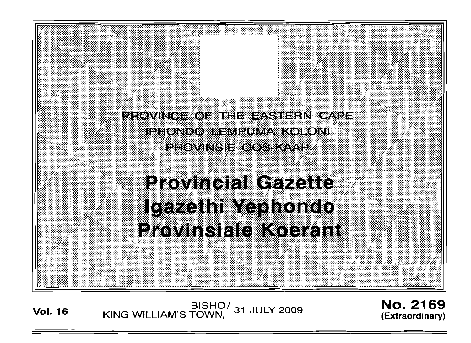PROVINCE OF THE EASTERN CAPE IPHONDO LEMPUMA KOLONI PROVINSIE OOS KAAP

# **Provincial Cazette Igazethi Yephondo Provinsiale Koerant**

**Vol. <sup>16</sup>** BISHO/ KING WILLIAM'S TOWN, 31 JULY 2009

No. 2169 **(Extraordinary)**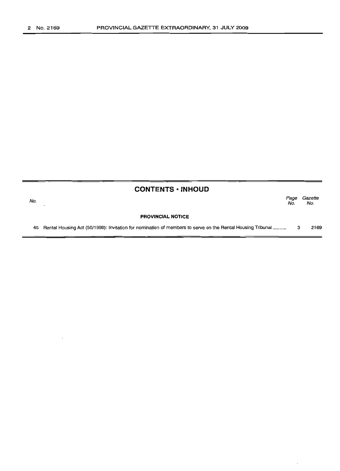| <b>CONTENTS • INHOUD</b> |                                                                                                               |             |                |
|--------------------------|---------------------------------------------------------------------------------------------------------------|-------------|----------------|
| No.                      |                                                                                                               | Page<br>No. | Gazette<br>No. |
|                          | <b>PROVINCIAL NOTICE</b>                                                                                      |             |                |
|                          | 45 Rental Housing Act (50/1999): Invitation for nomination of members to serve on the Rental Housing Tribunal | з           | 2169           |